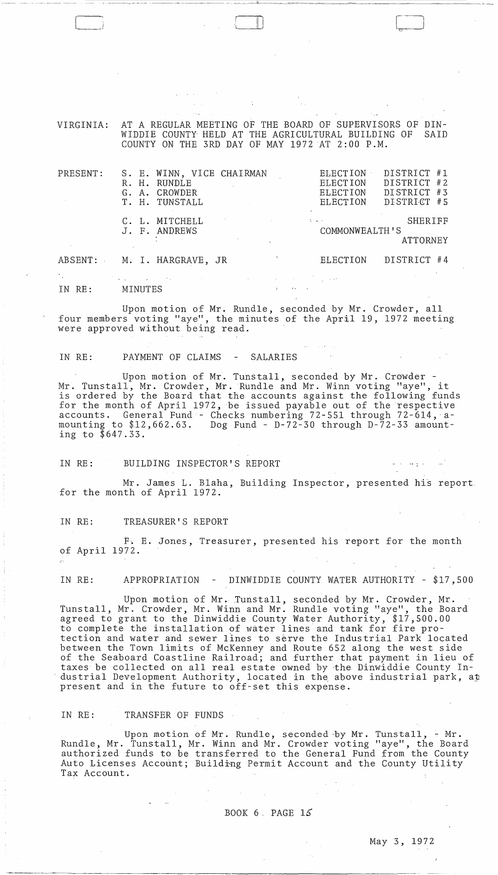VIRGINIA: AT A REGULAR MEETING OF THE BOARD OF SUPERVISORS OF DIN-WIDDIE COUNTY HELD AT THE AGRICULTURAL BUILDING OF COUNTY ON THE 3RD DAY OF MAY 1972 AT 2:00 P.M.

| PRESENT: | S. E. WINN, VICE CHAIRMAN<br>R. H. RUNDLE<br>G. A. CROWDER<br>T. H. TUNSTALL                                                                     |                                                                                 | DISTRICT #1<br>ELECTION<br>DISTRICT #2<br>ELECTION<br>DISTRICT<br># 3<br>ELECTION<br>DISTRICT #5<br>ELECTION |  |
|----------|--------------------------------------------------------------------------------------------------------------------------------------------------|---------------------------------------------------------------------------------|--------------------------------------------------------------------------------------------------------------|--|
|          | C. L. MITCHELL<br>J. F. ANDREWS                                                                                                                  | Alberta College<br>the control of the control of the control                    | <b>SHERIFF</b><br>COMMONWEALTH'S<br>ATTORNEY                                                                 |  |
|          | ABSENT: M. I. HARGRAVE, JR                                                                                                                       |                                                                                 | DISTRICT #4<br>ELECTION                                                                                      |  |
| IN RE:   | $\mathcal{O}(\mathcal{O}_\mathcal{A})$ and $\mathcal{O}(\mathcal{O}_\mathcal{A})$ . The set of $\mathcal{O}(\mathcal{O}_\mathcal{A})$<br>MINUTES | the contract of the contract of the contract of the contract of the contract of |                                                                                                              |  |

Upon motion of Mr. Rundle, seconded by Mr. Crowder, all four members voting "aye", the minutes of the April 19, 1972 meeting were approved without being read.

IN RE: PAYMENT OF CLAIMS - SALARIES

 $\Box$ 

Upon motion of Mr. Tunstall, seconded by Mr. Crowder - Mr. Tunstall, Mr. Crowder, Mr. Rundle and Mr. Winn voting "aye", it is ordered by the Board that the accounts against the following funds for the month of April 1972, be issued payable out of the respective accounts. General Fund - Checks numbering 72-551 through 72-614, amounting to \$12,662.63. Dog Fund - D-72-30 through D-72-33 amounting to \$647.33.

IN RE: BUILDING INSPECTOR'S REPORT

Mr. James L. Blaha, Building Inspector, presented his report for the month of April 1972.

IN RE: TREASURER'S REPORT

F. E. Jones, Treasurer, presented his report for the month of April 1972.

IN RE: APPROPRIATION - DINWIDDIE COUNTY WATER AUTHORITY - \$17,500

Upon motion of Mr. Tunstall, seconded by Mr. Crowder, Mr. Tunstall, Mr. Crowder, Mr. Winn and Mr. Rundle voting "aye", the Board agreed to grant to the Dinwiddie County Water Authority, \$17,500.00 agrood of grant of the Binardard coally mater hatherity,  $\psi$ r, section to complete the installation of water lines and tank for fire protection and water and sewer lines to serve the Industrial Park located between the Town limits of McKenney and Route 652 along the west side of the Seaboard Coastline Railroad; and further that payment in lieu of taxes be collected on all real estate owned by ·the Dinwiddie County Industrial Development Authority, located in the above industrial park, at present and in the future to off-set this expense.

IN RE: TRANSFER OF FUNDS

Upon motion of Mr. Rundle, seconded by Mr. Tunstall, - Mr. Rundle, Mr. Tunstall, Mr. Winn and Mr. Crowder voting "aye", the Board authorized funds to be transferred to the General Fund from the County Auto Licenses Account; Building Permit Account and the County Utility Tax Account.

BOOK  $6$ . PAGE  $15$ 

 $\label{eq:2.1} \frac{d\mathbf{r}}{dt} = \frac{1}{2} \left[ \frac{d\mathbf{r}}{dt} + \frac{d\mathbf{r}}{dt} \right] \mathbf{r} = \frac{1}{2} \left[ \frac{d\mathbf{r}}{dt} + \frac{d\mathbf{r}}{dt} \right] \mathbf{r} = \frac{1}{2} \left[ \frac{d\mathbf{r}}{dt} + \frac{d\mathbf{r}}{dt} \right] \mathbf{r} = \frac{1}{2} \left[ \frac{d\mathbf{r}}{dt} + \frac{d\mathbf{r}}{dt} \right] \mathbf{r} = \frac{1}{2} \left$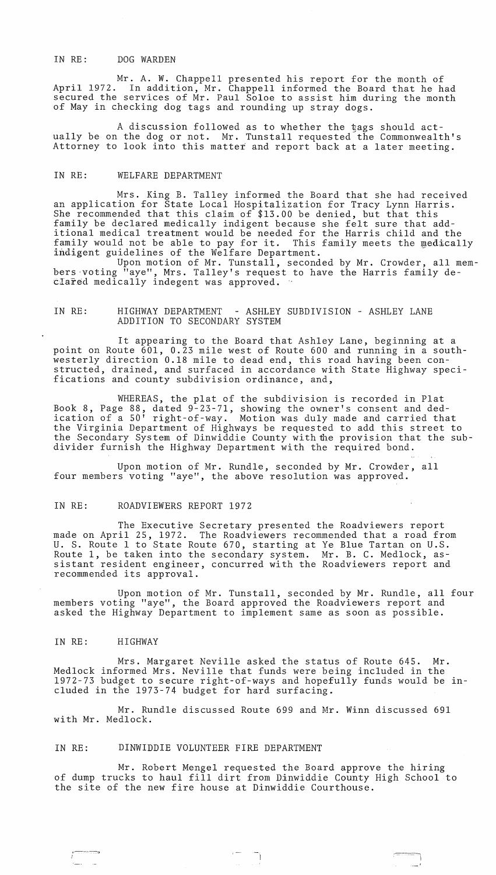## IN RE: DOG WARDEN

Mr. A. W. Chappell presented his report for the month of April 1972. In addition, Mr. Chappell informed the Board that he had secured the services of Mr. Paul Soloe to assist him during the month of May in checking dog tags and rounding up stray dogs.

A discussion followed as to whether the tags should actually be on the dog or not. Mr. Tunstall requested the Commonwealth's Attorney to look into this matter and report back at a later meeting.

## IN RE: WELFARE DEPARTMENT

Mrs. King B. Talley informed the Board that she had received an application for State Local Hospitalization for Tracy Lynn Harris. She recommended that this claim of \$13.00 be denied, but that this family be declared medically indigent because she felt sure that additional medical treatment would be needed for the Harris child and the family would not be able to pay for it. This family meets the medically family would not be able to pay for it. This indigent guidelines of the Welfare Department.

Upon motion of Mr. Tunstall, seconded by Mr. Crowder, all memhers 'voting "aye", Mrs. Talley's request to have the Harris family declared medically indegent was approved. "

# IN RE: HIGHWAY DEPARTMENT - ASHLEY SUBDIVISION - ASHLEY LANE ADDITION TO SECONDARY SYSTEM

It appearing to the Board that Ashley Lane, beginning at a point on Route 601, 0.23 mile west of Route 600 and running in a southwesterly direction 0.18 mile to dead end, this road having been constructed, drained, and surfaced in accordance with State Highway specifications and county subdivision ordinance, and,

WHEREAS, the plat of the subdivision is recorded in Plat Book 8, Page 88, dated 9-23-71, showing the owner's consent and dedication of a 50' right-of-way. Motion was duly made and carried that the Virginia Department of Highways be requested to add this street to the Secondary System of Dinwiddie County withfue provision that the subdivider furnish the Highway Department with the required bond.

Upon motion of Mr. Rundle, seconded by Mr. Crowder, all four members voting "aye", the above resolution was approved.

#### IN RE: ROADVIEWERS REPORT 1972

The Executive Secretary presented the Roadviewers report made on April 25, 1972. The Roadviewers recommended that a road from U. S. Route 1 to State Route 670, starting at Ye Blue Tartan on U.S. Route 1, be taken into the secondary system. Mr. B. C. Medlock, assistant resident engineer, concurred with the Roadviewers report and recommended its approval.

Upon motion of Mr. Tunstall, seconded by Mr. Rundle, all four members voting "aye", the Board approved the Roadviewers report and asked the Highway Department to implement same as soon as possible.

#### IN RE: HIGHWAY

r~-~

Mrs. Margaret Neville asked the status of Route 645. Mr. Medlock informed Mrs. Neville that funds were being included in the 1972-73 budget to secure right-of-ways and hopefully funds would be included in the 1973-74 budget for hard surfacing.

Mr. Rundle discussed Route 699 and Mr. Winn discussed 691 with Mr. Medlock.

### IN RE: DINWIDDIE VOLUNTEER FIRE DEPARTMENT

Mr. Robert Mengel requested the Board approve the hiring of dump trucks to haul fill dirt from Dinwiddie County High School to the site of the new fire house at Dinwiddie Courthouse.

, :~--"'I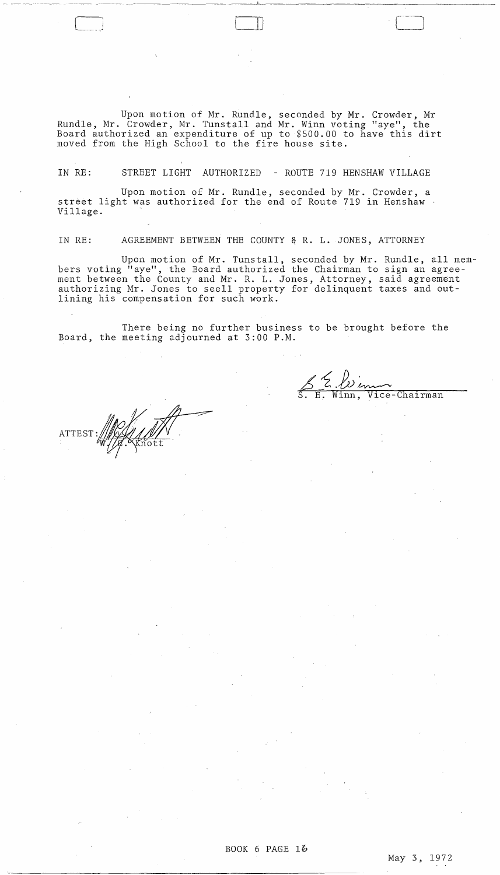Upon motion of Mr. Rundle, seconded by Mr. Crowder, Mr Rundle, Mr. Crowder, Mr. Tunstall and Mr. Winn voting "aye", the Board authorized an expenditure of up to \$500.00 to have this dirt moved from the High School to the fire house site.

 $\Box$ 

\_\_\_ ~ \_\_\_\_\_\_\_ .. \_.--~~--~.~~--. \_\_ ----'h \_\_\_ ~\_~\_~.

IN RE: STREET LIGHT AUTHORIZED - ROUTE 719 HENSHAW VILLAGE

Upon motion of Mr. Rundle, seconded by Mr. Crowder, a street light was authorized for the end of Route 719 in Henshaw ' Village.

IN RE: AGREEMENT BETWEEN THE COUNTY & R. L. JONES, ATTORNEY

Upon motion of Mr. Tunstall, seconded by Mr. Rundle, all members voting "aye", the Board authorized the Chairman to sign an agreement between the County and Mr. R. L. Jones, Attorney, said agreement authorizing Mr. Jones to seell property for delinquent taxes and outlining his compensation for such work.

There being no further business to be brought before the Board, the meeting adjourned at 3:00 P.M.

5 E. *Le enco*<br>E. Winn, Vice-Chairman

ATTEST